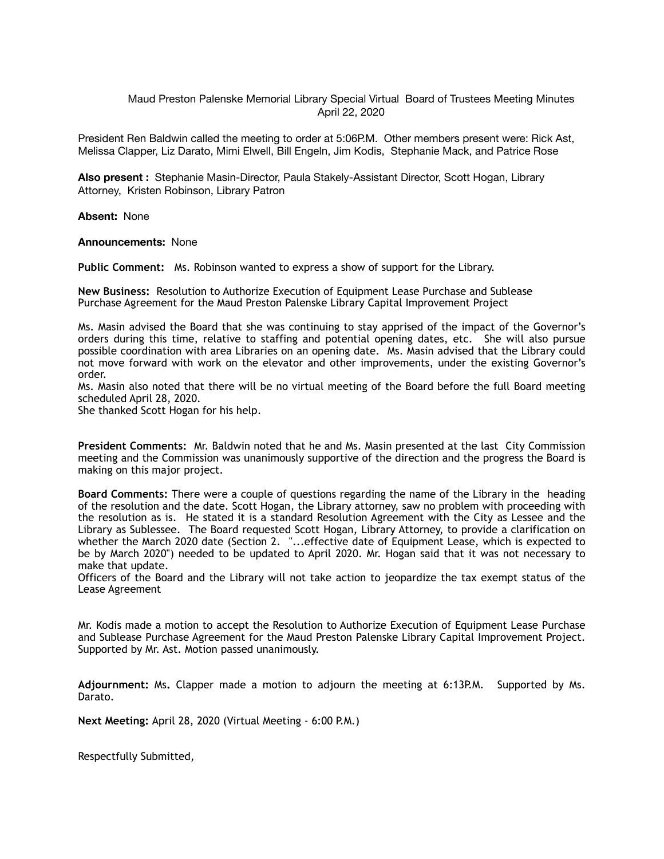Maud Preston Palenske Memorial Library Special Virtual Board of Trustees Meeting Minutes April 22, 2020

President Ren Baldwin called the meeting to order at 5:06P.M. Other members present were: Rick Ast, Melissa Clapper, Liz Darato, Mimi Elwell, Bill Engeln, Jim Kodis, Stephanie Mack, and Patrice Rose

**Also present :** Stephanie Masin-Director, Paula Stakely-Assistant Director, Scott Hogan, Library Attorney, Kristen Robinson, Library Patron

**Absent:** None

**Announcements:** None

**Public Comment:** Ms. Robinson wanted to express a show of support for the Library.

**New Business:** Resolution to Authorize Execution of Equipment Lease Purchase and Sublease Purchase Agreement for the Maud Preston Palenske Library Capital Improvement Project

Ms. Masin advised the Board that she was continuing to stay apprised of the impact of the Governor's orders during this time, relative to staffing and potential opening dates, etc. She will also pursue possible coordination with area Libraries on an opening date. Ms. Masin advised that the Library could not move forward with work on the elevator and other improvements, under the existing Governor's order.

Ms. Masin also noted that there will be no virtual meeting of the Board before the full Board meeting scheduled April 28, 2020.

She thanked Scott Hogan for his help.

**President Comments:** Mr. Baldwin noted that he and Ms. Masin presented at the last City Commission meeting and the Commission was unanimously supportive of the direction and the progress the Board is making on this major project.

**Board Comments:** There were a couple of questions regarding the name of the Library in the heading of the resolution and the date. Scott Hogan, the Library attorney, saw no problem with proceeding with the resolution as is. He stated it is a standard Resolution Agreement with the City as Lessee and the Library as Sublessee. The Board requested Scott Hogan, Library Attorney, to provide a clarification on whether the March 2020 date (Section 2. "...effective date of Equipment Lease, which is expected to be by March 2020") needed to be updated to April 2020. Mr. Hogan said that it was not necessary to make that update.

Officers of the Board and the Library will not take action to jeopardize the tax exempt status of the Lease Agreement

Mr. Kodis made a motion to accept the Resolution to Authorize Execution of Equipment Lease Purchase and Sublease Purchase Agreement for the Maud Preston Palenske Library Capital Improvement Project. Supported by Mr. Ast. Motion passed unanimously.

**Adjournment:** Ms**.** Clapper made a motion to adjourn the meeting at 6:13P.M. Supported by Ms. Darato.

**Next Meeting:** April 28, 2020 (Virtual Meeting - 6:00 P.M.)

Respectfully Submitted,